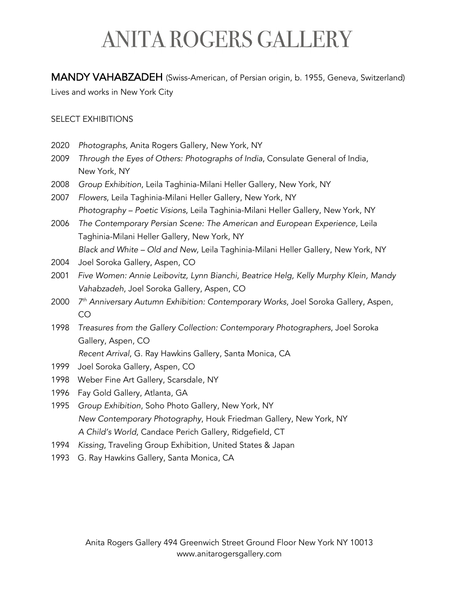# **ANITA ROGERS GALLERY**

MANDY VAHABZADEH (Swiss-American, of Persian origin, b. 1955, Geneva, Switzerland)

Lives and works in New York City

### SELECT EXHIBITIONS

- 2020 *Photographs*, Anita Rogers Gallery, New York, NY
- 2009 *Through the Eyes of Others: Photographs of India*, Consulate General of India, New York, NY
- 2008 *Group Exhibition*, Leila Taghinia-Milani Heller Gallery, New York, NY
- 2007 *Flowers*, Leila Taghinia-Milani Heller Gallery, New York, NY *Photography – Poetic Visions*, Leila Taghinia-Milani Heller Gallery, New York, NY
- 2006 *The Contemporary Persian Scene: The American and European Experience,* Leila Taghinia-Milani Heller Gallery, New York, NY *Black and White – Old and New,* Leila Taghinia-Milani Heller Gallery, New York, NY
- 2004 Joel Soroka Gallery, Aspen, CO
- 2001 *Five Women: Annie Leibovitz, Lynn Bianchi, Beatrice Helg, Kelly Murphy Klein, Mandy Vahabzadeh*, Joel Soroka Gallery, Aspen, CO
- 2000 *7th Anniversary Autumn Exhibition: Contemporary Works*, Joel Soroka Gallery, Aspen, CO
- 1998 *Treasures from the Gallery Collection: Contemporary Photographers*, Joel Soroka Gallery, Aspen, CO
	- *Recent Arrival*, G. Ray Hawkins Gallery, Santa Monica, CA
- 1999 Joel Soroka Gallery, Aspen, CO
- 1998 Weber Fine Art Gallery, Scarsdale, NY
- 1996 Fay Gold Gallery, Atlanta, GA
- 1995 *Group Exhibition*, Soho Photo Gallery, New York, NY *New Contemporary Photography*, Houk Friedman Gallery, New York, NY *A Child's World*, Candace Perich Gallery, Ridgefield, CT
- 1994 *Kissing*, Traveling Group Exhibition, United States & Japan
- 1993 G. Ray Hawkins Gallery, Santa Monica, CA